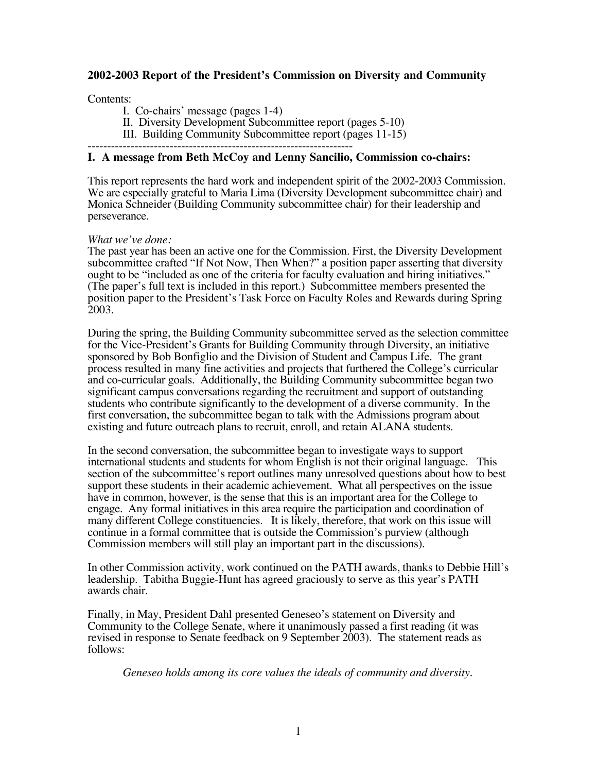# **2002-2003 Report of the President's Commission on Diversity and Community**

#### Contents:

I. Co-chairs' message (pages 1-4)

II. Diversity Development Subcommittee report (pages 5-10)

III. Building Community Subcommittee report (pages 11-15)

# **I. A message from Beth McCoy and Lenny Sancilio, Commission co-chairs:**

This report represents the hard work and independent spirit of the 2002-2003 Commission. We are especially grateful to Maria Lima (Diversity Development subcommittee chair) and Monica Schneider (Building Community subcommittee chair) for their leadership and perseverance.

#### *What we've done:*

The past year has been an active one for the Commission. First, the Diversity Development subcommittee crafted "If Not Now, Then When?" a position paper asserting that diversity ought to be "included as one of the criteria for faculty evaluation and hiring initiatives." (The paper's full text is included in this report.) Subcommittee members presented the position paper to the President's Task Force on Faculty Roles and Rewards during Spring 2003.

During the spring, the Building Community subcommittee served as the selection committee for the Vice-President's Grants for Building Community through Diversity, an initiative sponsored by Bob Bonfiglio and the Division of Student and Campus Life. The grant process resulted in many fine activities and projects that furthered the College's curricular and co-curricular goals. Additionally, the Building Community subcommittee began two significant campus conversations regarding the recruitment and support of outstanding students who contribute significantly to the development of a diverse community. In the first conversation, the subcommittee began to talk with the Admissions program about existing and future outreach plans to recruit, enroll, and retain ALANA students.

In the second conversation, the subcommittee began to investigate ways to support international students and students for whom English is not their original language.This section of the subcommittee's report outlines many unresolved questions about how to best support these students in their academic achievement. What all perspectives on the issue have in common, however, is the sense that this is an important area for the College to engage. Any formal initiatives in this area require the participation and coordination of many different College constituencies. It is likely, therefore, that work on this issue will continue in a formal committee that is outside the Commission's purview (although Commission members will still play an important part in the discussions).

In other Commission activity, work continued on the PATH awards, thanks to Debbie Hill's leadership. Tabitha Buggie-Hunt has agreed graciously to serve as this year's PATH awards chair.

Finally, in May, President Dahl presented Geneseo's statement on Diversity and Community to the College Senate, where it unanimously passed a first reading (it was revised in response to Senate feedback on 9 September 2003). The statement reads as follows:

*Geneseo holds among its core values the ideals of community and diversity.*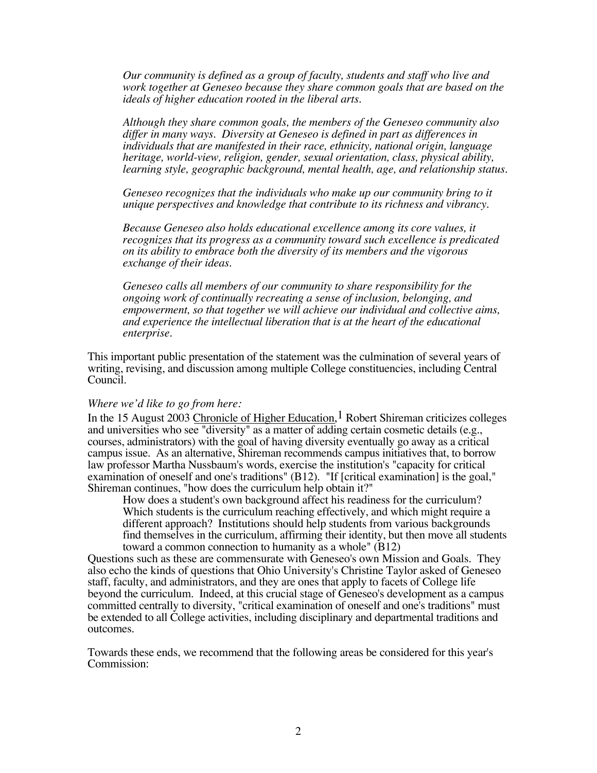*Our community is defined as a group of faculty, students and staff who live and work together at Geneseo because they share common goals that are based on the ideals of higher education rooted in the liberal arts.*

*Although they share common goals, the members of the Geneseo community also differ in many ways. Diversity at Geneseo is defined in part as differences in individuals that are manifested in their race, ethnicity, national origin, language heritage, world-view, religion, gender, sexual orientation, class, physical ability, learning style, geographic background, mental health, age, and relationship status.*

*Geneseo recognizes that the individuals who make up our community bring to it unique perspectives and knowledge that contribute to its richness and vibrancy.*

*Because Geneseo also holds educational excellence among its core values, it recognizes that its progress as a community toward such excellence is predicated on its ability to embrace both the diversity of its members and the vigorous exchange of their ideas.*

*Geneseo calls all members of our community to share responsibility for the ongoing work of continually recreating a sense of inclusion, belonging, and empowerment, so that together we will achieve our individual and collective aims, and experience the intellectual liberation that is at the heart of the educational enterprise.*

This important public presentation of the statement was the culmination of several years of writing, revising, and discussion among multiple College constituencies, including Central Council.

#### *Where we'd like to go from here:*

In the 15 August 2003 Chronicle of Higher Education,  $1$  Robert Shireman criticizes colleges and universities who see "diversity" as a matter of adding certain cosmetic details (e.g., courses, administrators) with the goal of having diversity eventually go away as a critical campus issue. As an alternative, Shireman recommends campus initiatives that, to borrow law professor Martha Nussbaum's words, exercise the institution's "capacity for critical examination of oneself and one's traditions" (B12). "If [critical examination] is the goal," Shireman continues, "how does the curriculum help obtain it?"

How does a student's own background affect his readiness for the curriculum? Which students is the curriculum reaching effectively, and which might require a different approach? Institutions should help students from various backgrounds find themselves in the curriculum, affirming their identity, but then move all students toward a common connection to humanity as a whole" (B12)

Questions such as these are commensurate with Geneseo's own Mission and Goals. They also echo the kinds of questions that Ohio University's Christine Taylor asked of Geneseo staff, faculty, and administrators, and they are ones that apply to facets of College life beyond the curriculum. Indeed, at this crucial stage of Geneseo's development as a campus committed centrally to diversity, "critical examination of oneself and one's traditions" must be extended to all College activities, including disciplinary and departmental traditions and outcomes.

Towards these ends, we recommend that the following areas be considered for this year's Commission: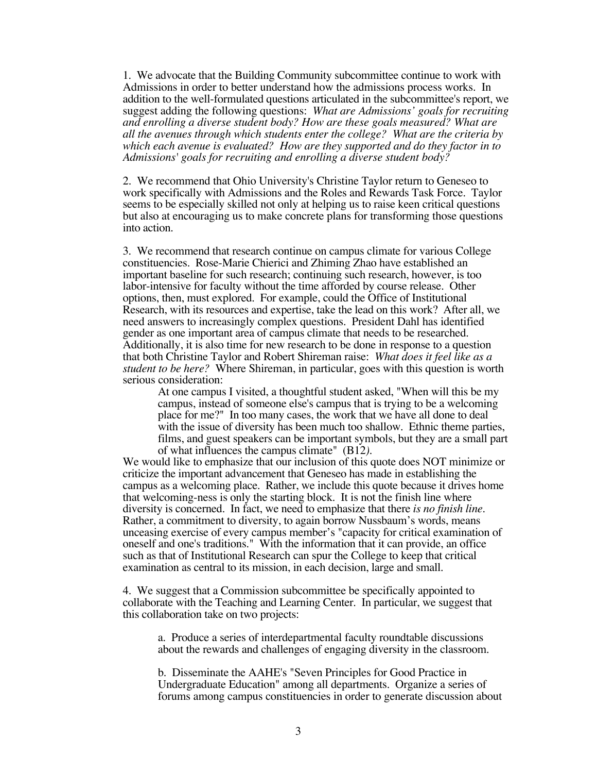1. We advocate that the Building Community subcommittee continue to work with Admissions in order to better understand how the admissions process works. In addition to the well-formulated questions articulated in the subcommittee's report, we suggest adding the following questions: *What are Admissions' goals for recruiting and enrolling a diverse student body? How are these goals measured? What are all the avenues through which students enter the college? What are the criteria by which each avenue is evaluated? How are they supported and do they factor in to Admissions' goals for recruiting and enrolling a diverse student body?*

2. We recommend that Ohio University's Christine Taylor return to Geneseo to work specifically with Admissions and the Roles and Rewards Task Force. Taylor seems to be especially skilled not only at helping us to raise keen critical questions but also at encouraging us to make concrete plans for transforming those questions into action.

3. We recommend that research continue on campus climate for various College constituencies. Rose-Marie Chierici and Zhiming Zhao have established an important baseline for such research; continuing such research, however, is too labor-intensive for faculty without the time afforded by course release. Other options, then, must explored. For example, could the Office of Institutional Research, with its resources and expertise, take the lead on this work? After all, we need answers to increasingly complex questions. President Dahl has identified gender as one important area of campus climate that needs to be researched. Additionally, it is also time for new research to be done in response to a question that both Christine Taylor and Robert Shireman raise: *What does it feel like as a student to be here?* Where Shireman, in particular, goes with this question is worth serious consideration:

At one campus I visited, a thoughtful student asked, "When will this be my campus, instead of someone else's campus that is trying to be a welcoming place for me?" In too many cases, the work that we have all done to deal with the issue of diversity has been much too shallow. Ethnic theme parties, films, and guest speakers can be important symbols, but they are a small part of what influences the campus climate" (B12*).*

We would like to emphasize that our inclusion of this quote does NOT minimize or criticize the important advancement that Geneseo has made in establishing the campus as a welcoming place. Rather, we include this quote because it drives home that welcoming-ness is only the starting block. It is not the finish line where diversity is concerned. In fact, we need to emphasize that there *is no finish line*. Rather, a commitment to diversity, to again borrow Nussbaum's words, means unceasing exercise of every campus member's "capacity for critical examination of oneself and one's traditions." With the information that it can provide, an office such as that of Institutional Research can spur the College to keep that critical examination as central to its mission, in each decision, large and small.

4. We suggest that a Commission subcommittee be specifically appointed to collaborate with the Teaching and Learning Center. In particular, we suggest that this collaboration take on two projects:

a. Produce a series of interdepartmental faculty roundtable discussions about the rewards and challenges of engaging diversity in the classroom.

b. Disseminate the AAHE's "Seven Principles for Good Practice in Undergraduate Education" among all departments. Organize a series of forums among campus constituencies in order to generate discussion about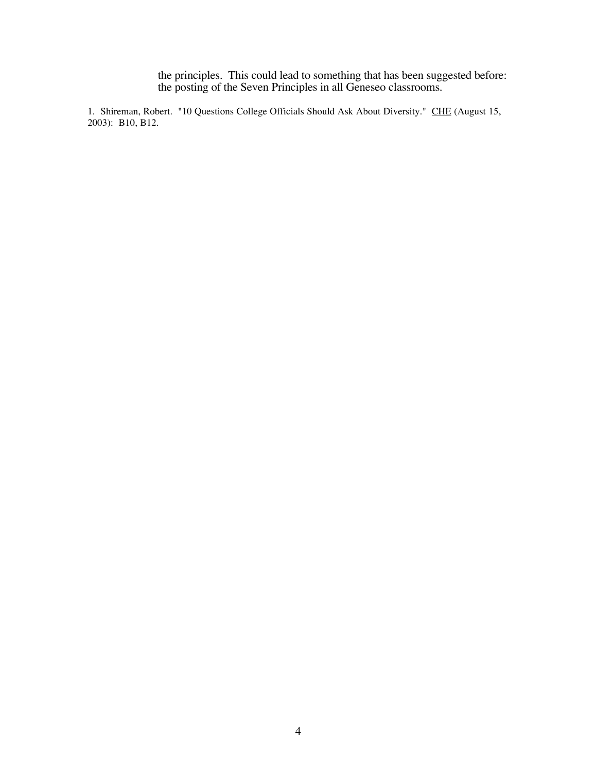the principles. This could lead to something that has been suggested before: the posting of the Seven Principles in all Geneseo classrooms.

1. Shireman, Robert. "10 Questions College Officials Should Ask About Diversity." CHE (August 15, 2003): B10, B12.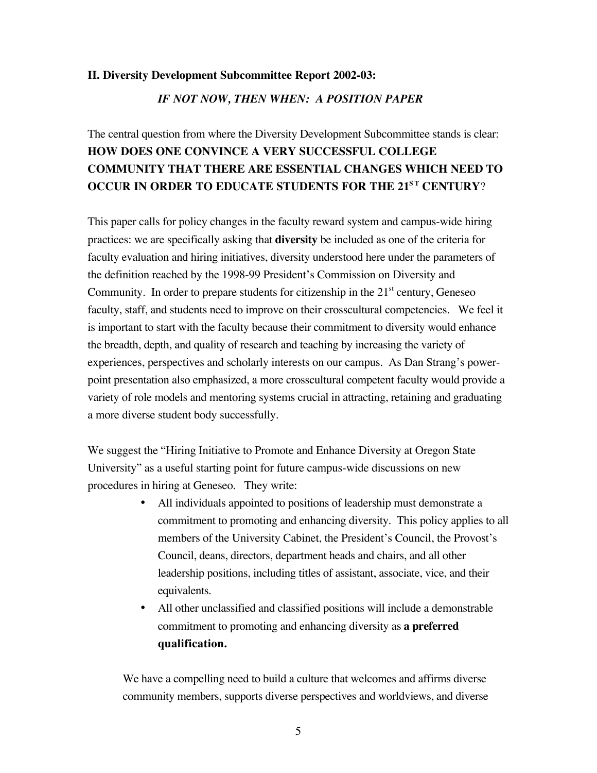#### **II. Diversity Development Subcommittee Report 2002-03:**

## *IF NOT NOW, THEN WHEN: A POSITION PAPER*

# The central question from where the Diversity Development Subcommittee stands is clear: **HOW DOES ONE CONVINCE A VERY SUCCESSFUL COLLEGE COMMUNITY THAT THERE ARE ESSENTIAL CHANGES WHICH NEED TO OCCUR IN ORDER TO EDUCATE STUDENTS FOR THE 21<sup>ST</sup> CENTURY?**

This paper calls for policy changes in the faculty reward system and campus-wide hiring practices: we are specifically asking that **diversity** be included as one of the criteria for faculty evaluation and hiring initiatives, diversity understood here under the parameters of the definition reached by the 1998-99 President's Commission on Diversity and Community. In order to prepare students for citizenship in the  $21<sup>st</sup>$  century, Geneseo faculty, staff, and students need to improve on their crosscultural competencies. We feel it is important to start with the faculty because their commitment to diversity would enhance the breadth, depth, and quality of research and teaching by increasing the variety of experiences, perspectives and scholarly interests on our campus. As Dan Strang's powerpoint presentation also emphasized, a more crosscultural competent faculty would provide a variety of role models and mentoring systems crucial in attracting, retaining and graduating a more diverse student body successfully.

We suggest the "Hiring Initiative to Promote and Enhance Diversity at Oregon State University" as a useful starting point for future campus-wide discussions on new procedures in hiring at Geneseo. They write:

- All individuals appointed to positions of leadership must demonstrate a commitment to promoting and enhancing diversity. This policy applies to all members of the University Cabinet, the President's Council, the Provost's Council, deans, directors, department heads and chairs, and all other leadership positions, including titles of assistant, associate, vice, and their equivalents.
- All other unclassified and classified positions will include a demonstrable commitment to promoting and enhancing diversity as **a preferred qualification.**

We have a compelling need to build a culture that welcomes and affirms diverse community members, supports diverse perspectives and worldviews, and diverse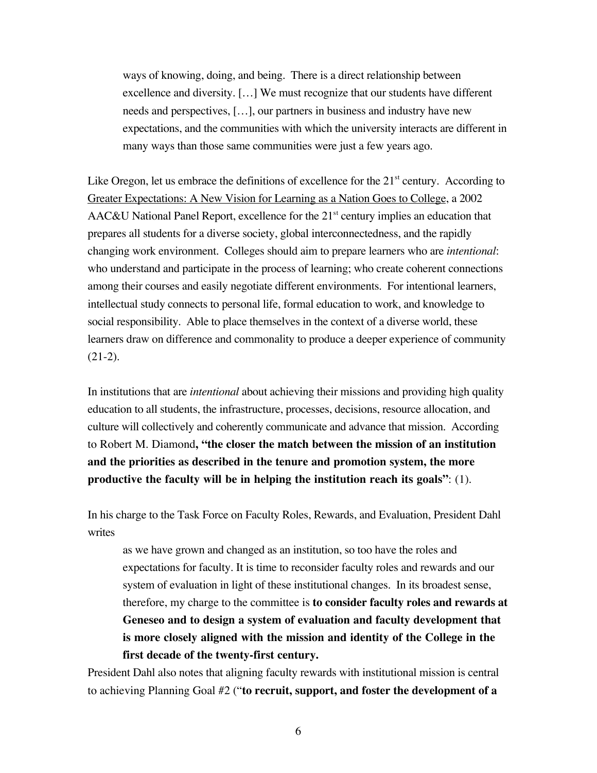ways of knowing, doing, and being. There is a direct relationship between excellence and diversity. […] We must recognize that our students have different needs and perspectives, […], our partners in business and industry have new expectations, and the communities with which the university interacts are different in many ways than those same communities were just a few years ago.

Like Oregon, let us embrace the definitions of excellence for the  $21<sup>st</sup>$  century. According to Greater Expectations: A New Vision for Learning as a Nation Goes to College, a 2002  $AAC&U$  National Panel Report, excellence for the 21<sup>st</sup> century implies an education that prepares all students for a diverse society, global interconnectedness, and the rapidly changing work environment. Colleges should aim to prepare learners who are *intentional*: who understand and participate in the process of learning; who create coherent connections among their courses and easily negotiate different environments. For intentional learners, intellectual study connects to personal life, formal education to work, and knowledge to social responsibility. Able to place themselves in the context of a diverse world, these learners draw on difference and commonality to produce a deeper experience of community  $(21-2).$ 

In institutions that are *intentional* about achieving their missions and providing high quality education to all students, the infrastructure, processes, decisions, resource allocation, and culture will collectively and coherently communicate and advance that mission. According to Robert M. Diamond**, "the closer the match between the mission of an institution and the priorities as described in the tenure and promotion system, the more productive the faculty will be in helping the institution reach its goals"**: (1).

In his charge to the Task Force on Faculty Roles, Rewards, and Evaluation, President Dahl writes

as we have grown and changed as an institution, so too have the roles and expectations for faculty. It is time to reconsider faculty roles and rewards and our system of evaluation in light of these institutional changes. In its broadest sense, therefore, my charge to the committee is **to consider faculty roles and rewards at Geneseo and to design a system of evaluation and faculty development that is more closely aligned with the mission and identity of the College in the first decade of the twenty-first century.**

President Dahl also notes that aligning faculty rewards with institutional mission is central to achieving Planning Goal #2 ("**to recruit, support, and foster the development of a**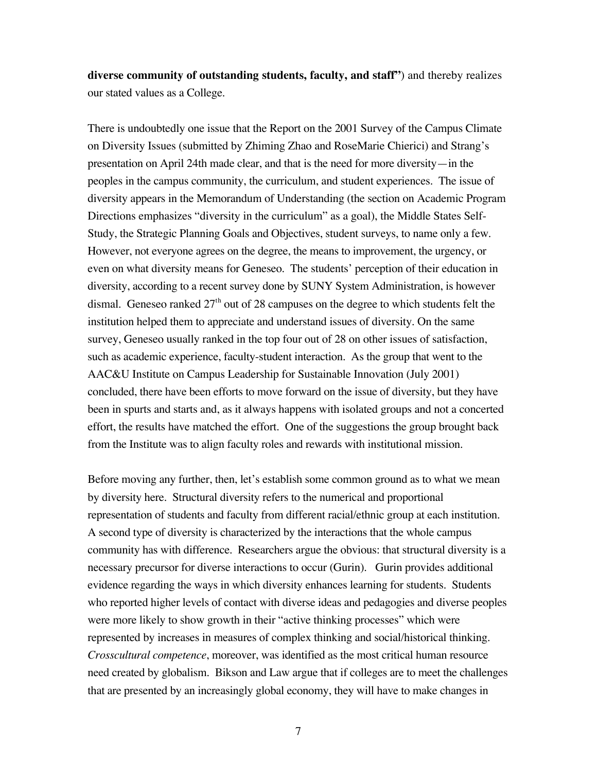**diverse community of outstanding students, faculty, and staff"**) and thereby realizes our stated values as a College.

There is undoubtedly one issue that the Report on the 2001 Survey of the Campus Climate on Diversity Issues (submitted by Zhiming Zhao and RoseMarie Chierici) and Strang's presentation on April 24th made clear, and that is the need for more diversity—in the peoples in the campus community, the curriculum, and student experiences. The issue of diversity appears in the Memorandum of Understanding (the section on Academic Program Directions emphasizes "diversity in the curriculum" as a goal), the Middle States Self-Study, the Strategic Planning Goals and Objectives, student surveys, to name only a few. However, not everyone agrees on the degree, the means to improvement, the urgency, or even on what diversity means for Geneseo. The students' perception of their education in diversity, according to a recent survey done by SUNY System Administration, is however dismal. Geneseo ranked  $27<sup>th</sup>$  out of 28 campuses on the degree to which students felt the institution helped them to appreciate and understand issues of diversity. On the same survey, Geneseo usually ranked in the top four out of 28 on other issues of satisfaction, such as academic experience, faculty-student interaction. As the group that went to the AAC&U Institute on Campus Leadership for Sustainable Innovation (July 2001) concluded, there have been efforts to move forward on the issue of diversity, but they have been in spurts and starts and, as it always happens with isolated groups and not a concerted effort, the results have matched the effort. One of the suggestions the group brought back from the Institute was to align faculty roles and rewards with institutional mission.

Before moving any further, then, let's establish some common ground as to what we mean by diversity here. Structural diversity refers to the numerical and proportional representation of students and faculty from different racial/ethnic group at each institution. A second type of diversity is characterized by the interactions that the whole campus community has with difference. Researchers argue the obvious: that structural diversity is a necessary precursor for diverse interactions to occur (Gurin). Gurin provides additional evidence regarding the ways in which diversity enhances learning for students. Students who reported higher levels of contact with diverse ideas and pedagogies and diverse peoples were more likely to show growth in their "active thinking processes" which were represented by increases in measures of complex thinking and social/historical thinking. *Crosscultural competence*, moreover, was identified as the most critical human resource need created by globalism. Bikson and Law argue that if colleges are to meet the challenges that are presented by an increasingly global economy, they will have to make changes in

7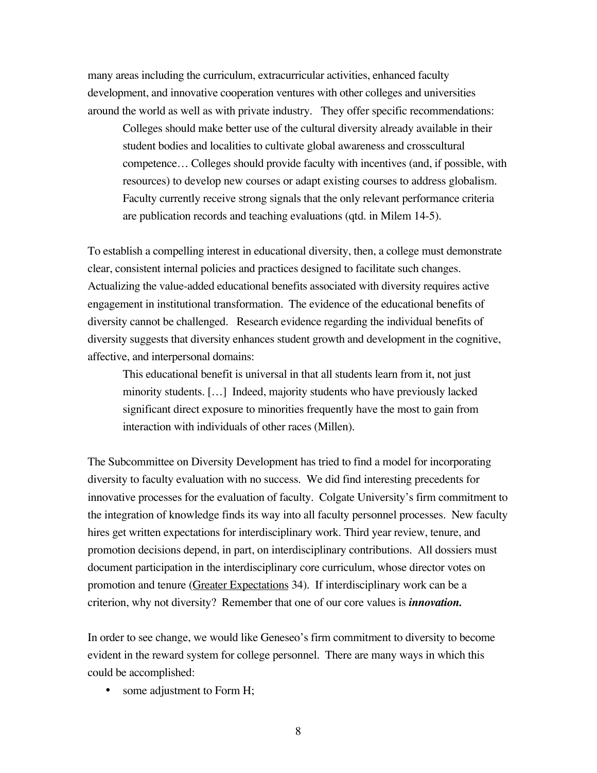many areas including the curriculum, extracurricular activities, enhanced faculty development, and innovative cooperation ventures with other colleges and universities around the world as well as with private industry. They offer specific recommendations:

Colleges should make better use of the cultural diversity already available in their student bodies and localities to cultivate global awareness and crosscultural competence… Colleges should provide faculty with incentives (and, if possible, with resources) to develop new courses or adapt existing courses to address globalism. Faculty currently receive strong signals that the only relevant performance criteria are publication records and teaching evaluations (qtd. in Milem 14-5).

To establish a compelling interest in educational diversity, then, a college must demonstrate clear, consistent internal policies and practices designed to facilitate such changes. Actualizing the value-added educational benefits associated with diversity requires active engagement in institutional transformation. The evidence of the educational benefits of diversity cannot be challenged. Research evidence regarding the individual benefits of diversity suggests that diversity enhances student growth and development in the cognitive, affective, and interpersonal domains:

This educational benefit is universal in that all students learn from it, not just minority students. […] Indeed, majority students who have previously lacked significant direct exposure to minorities frequently have the most to gain from interaction with individuals of other races (Millen).

The Subcommittee on Diversity Development has tried to find a model for incorporating diversity to faculty evaluation with no success. We did find interesting precedents for innovative processes for the evaluation of faculty. Colgate University's firm commitment to the integration of knowledge finds its way into all faculty personnel processes. New faculty hires get written expectations for interdisciplinary work. Third year review, tenure, and promotion decisions depend, in part, on interdisciplinary contributions. All dossiers must document participation in the interdisciplinary core curriculum, whose director votes on promotion and tenure (Greater Expectations 34). If interdisciplinary work can be a criterion, why not diversity? Remember that one of our core values is *innovation.*

In order to see change, we would like Geneseo's firm commitment to diversity to become evident in the reward system for college personnel. There are many ways in which this could be accomplished:

• some adjustment to Form H;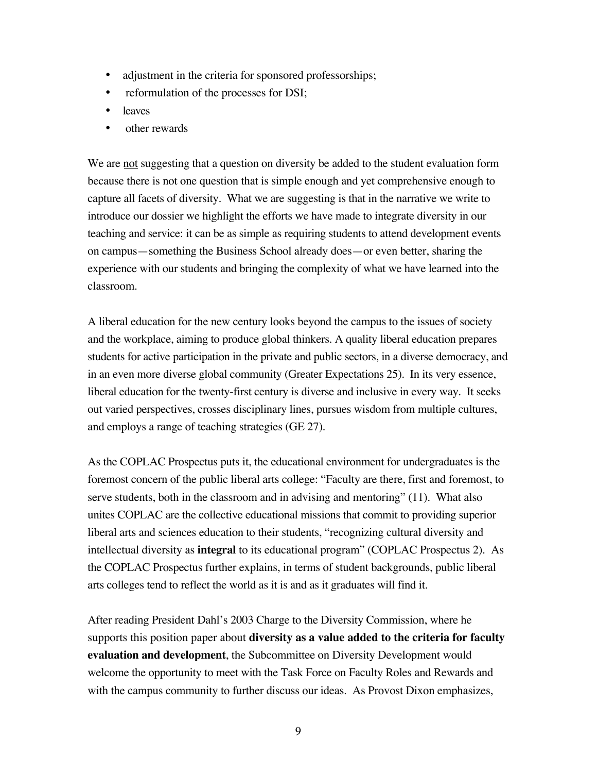- adjustment in the criteria for sponsored professorships;
- reformulation of the processes for DSI;
- leaves
- other rewards

We are not suggesting that a question on diversity be added to the student evaluation form because there is not one question that is simple enough and yet comprehensive enough to capture all facets of diversity. What we are suggesting is that in the narrative we write to introduce our dossier we highlight the efforts we have made to integrate diversity in our teaching and service: it can be as simple as requiring students to attend development events on campus—something the Business School already does—or even better, sharing the experience with our students and bringing the complexity of what we have learned into the classroom.

A liberal education for the new century looks beyond the campus to the issues of society and the workplace, aiming to produce global thinkers. A quality liberal education prepares students for active participation in the private and public sectors, in a diverse democracy, and in an even more diverse global community (Greater Expectations 25). In its very essence, liberal education for the twenty-first century is diverse and inclusive in every way. It seeks out varied perspectives, crosses disciplinary lines, pursues wisdom from multiple cultures, and employs a range of teaching strategies (GE 27).

As the COPLAC Prospectus puts it, the educational environment for undergraduates is the foremost concern of the public liberal arts college: "Faculty are there, first and foremost, to serve students, both in the classroom and in advising and mentoring" (11). What also unites COPLAC are the collective educational missions that commit to providing superior liberal arts and sciences education to their students, "recognizing cultural diversity and intellectual diversity as **integral** to its educational program" (COPLAC Prospectus 2). As the COPLAC Prospectus further explains, in terms of student backgrounds, public liberal arts colleges tend to reflect the world as it is and as it graduates will find it.

After reading President Dahl's 2003 Charge to the Diversity Commission, where he supports this position paper about **diversity as a value added to the criteria for faculty evaluation and development**, the Subcommittee on Diversity Development would welcome the opportunity to meet with the Task Force on Faculty Roles and Rewards and with the campus community to further discuss our ideas. As Provost Dixon emphasizes,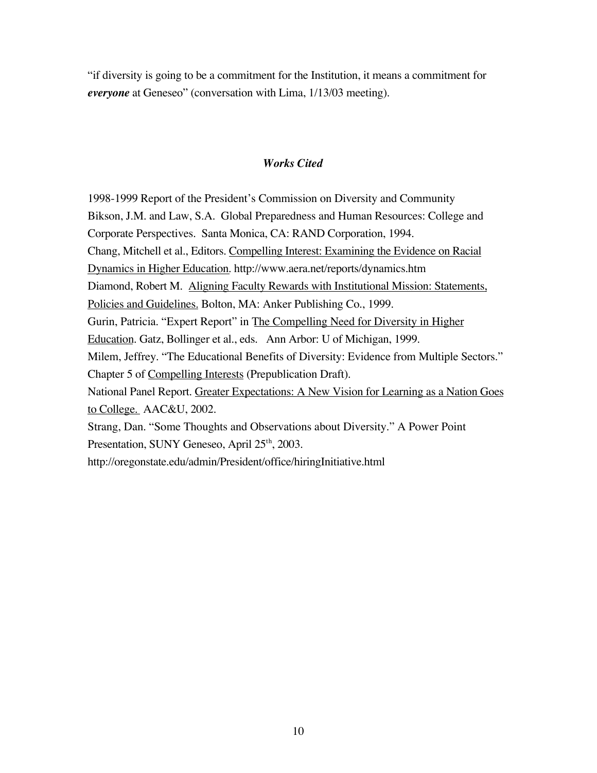"if diversity is going to be a commitment for the Institution, it means a commitment for *everyone* at Geneseo" (conversation with Lima, 1/13/03 meeting).

# *Works Cited*

1998-1999 Report of the President's Commission on Diversity and Community Bikson, J.M. and Law, S.A. Global Preparedness and Human Resources: College and Corporate Perspectives. Santa Monica, CA: RAND Corporation, 1994. Chang, Mitchell et al., Editors. Compelling Interest: Examining the Evidence on Racial Dynamics in Higher Education. http://www.aera.net/reports/dynamics.htm Diamond, Robert M. Aligning Faculty Rewards with Institutional Mission: Statements, Policies and Guidelines. Bolton, MA: Anker Publishing Co., 1999. Gurin, Patricia. "Expert Report" in The Compelling Need for Diversity in Higher Education. Gatz, Bollinger et al., eds. Ann Arbor: U of Michigan, 1999. Milem, Jeffrey. "The Educational Benefits of Diversity: Evidence from Multiple Sectors." Chapter 5 of Compelling Interests (Prepublication Draft). National Panel Report. Greater Expectations: A New Vision for Learning as a Nation Goes to College. AAC&U, 2002. Strang, Dan. "Some Thoughts and Observations about Diversity." A Power Point Presentation, SUNY Geneseo, April 25<sup>th</sup>, 2003. http://oregonstate.edu/admin/President/office/hiringInitiative.html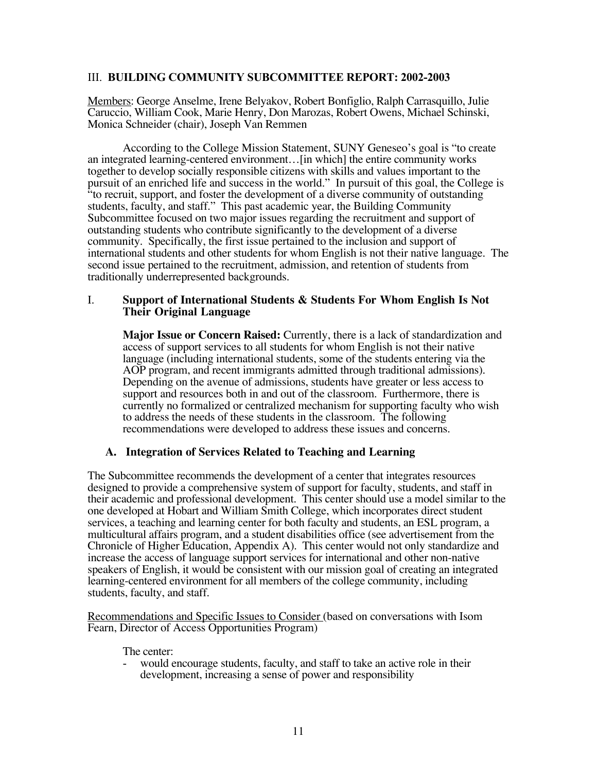#### III. **BUILDING COMMUNITY SUBCOMMITTEE REPORT: 2002-2003**

Members: George Anselme, Irene Belyakov, Robert Bonfiglio, Ralph Carrasquillo, Julie Caruccio, William Cook, Marie Henry, Don Marozas, Robert Owens, Michael Schinski, Monica Schneider (chair), Joseph Van Remmen

According to the College Mission Statement, SUNY Geneseo's goal is "to create an integrated learning-centered environment…[in which] the entire community works together to develop socially responsible citizens with skills and values important to the pursuit of an enriched life and success in the world." In pursuit of this goal, the College is "to recruit, support, and foster the development of a diverse community of outstanding students, faculty, and staff." This past academic year, the Building Community Subcommittee focused on two major issues regarding the recruitment and support of outstanding students who contribute significantly to the development of a diverse community. Specifically, the first issue pertained to the inclusion and support of international students and other students for whom English is not their native language. The second issue pertained to the recruitment, admission, and retention of students from traditionally underrepresented backgrounds.

#### I. **Support of International Students & Students For Whom English Is Not Their Original Language**

**Major Issue or Concern Raised:** Currently, there is a lack of standardization and access of support services to all students for whom English is not their native language (including international students, some of the students entering via the AOP program, and recent immigrants admitted through traditional admissions). Depending on the avenue of admissions, students have greater or less access to support and resources both in and out of the classroom. Furthermore, there is currently no formalized or centralized mechanism for supporting faculty who wish to address the needs of these students in the classroom. The following recommendations were developed to address these issues and concerns.

#### **A. Integration of Services Related to Teaching and Learning**

The Subcommittee recommends the development of a center that integrates resources designed to provide a comprehensive system of support for faculty, students, and staff in their academic and professional development. This center should use a model similar to the one developed at Hobart and William Smith College, which incorporates direct student services, a teaching and learning center for both faculty and students, an ESL program, a multicultural affairs program, and a student disabilities office (see advertisement from the Chronicle of Higher Education, Appendix A). This center would not only standardize and increase the access of language support services for international and other non-native speakers of English, it would be consistent with our mission goal of creating an integrated learning-centered environment for all members of the college community, including students, faculty, and staff.

Recommendations and Specific Issues to Consider (based on conversations with Isom Fearn, Director of Access Opportunities Program)

The center:

would encourage students, faculty, and staff to take an active role in their development, increasing a sense of power and responsibility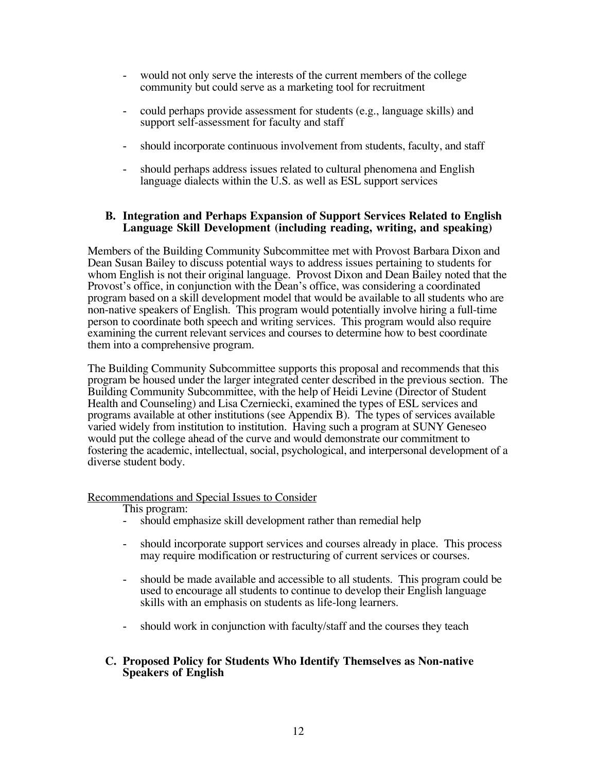- would not only serve the interests of the current members of the college community but could serve as a marketing tool for recruitment
- could perhaps provide assessment for students (e.g., language skills) and support self-assessment for faculty and staff
- should incorporate continuous involvement from students, faculty, and staff
- should perhaps address issues related to cultural phenomena and English language dialects within the U.S. as well as ESL support services

## **B. Integration and Perhaps Expansion of Support Services Related to English Language Skill Development (including reading, writing, and speaking)**

Members of the Building Community Subcommittee met with Provost Barbara Dixon and Dean Susan Bailey to discuss potential ways to address issues pertaining to students for whom English is not their original language. Provost Dixon and Dean Bailey noted that the Provost's office, in conjunction with the Dean's office, was considering a coordinated program based on a skill development model that would be available to all students who are non-native speakers of English. This program would potentially involve hiring a full-time person to coordinate both speech and writing services. This program would also require examining the current relevant services and courses to determine how to best coordinate them into a comprehensive program.

The Building Community Subcommittee supports this proposal and recommends that this program be housed under the larger integrated center described in the previous section. The Building Community Subcommittee, with the help of Heidi Levine (Director of Student Health and Counseling) and Lisa Czerniecki, examined the types of ESL services and programs available at other institutions (see Appendix B). The types of services available varied widely from institution to institution. Having such a program at SUNY Geneseo would put the college ahead of the curve and would demonstrate our commitment to fostering the academic, intellectual, social, psychological, and interpersonal development of a diverse student body.

# Recommendations and Special Issues to Consider

This program:

- should emphasize skill development rather than remedial help
- should incorporate support services and courses already in place. This process may require modification or restructuring of current services or courses.
- should be made available and accessible to all students. This program could be used to encourage all students to continue to develop their English language skills with an emphasis on students as life-long learners.
- should work in conjunction with faculty/staff and the courses they teach

# **C. Proposed Policy for Students Who Identify Themselves as Non-native Speakers of English**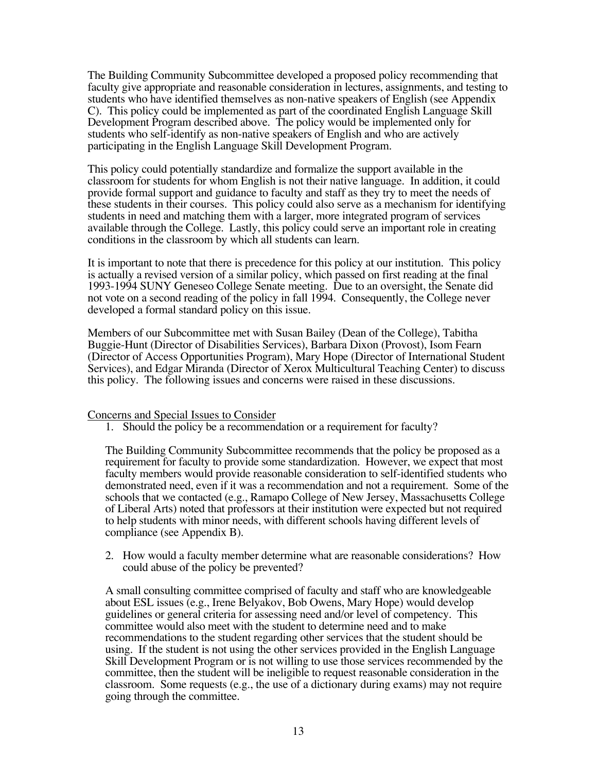The Building Community Subcommittee developed a proposed policy recommending that faculty give appropriate and reasonable consideration in lectures, assignments, and testing to students who have identified themselves as non-native speakers of English (see Appendix C). This policy could be implemented as part of the coordinated English Language Skill Development Program described above. The policy would be implemented only for students who self-identify as non-native speakers of English and who are actively participating in the English Language Skill Development Program.

This policy could potentially standardize and formalize the support available in the classroom for students for whom English is not their native language. In addition, it could provide formal support and guidance to faculty and staff as they try to meet the needs of these students in their courses. This policy could also serve as a mechanism for identifying students in need and matching them with a larger, more integrated program of services available through the College. Lastly, this policy could serve an important role in creating conditions in the classroom by which all students can learn.

It is important to note that there is precedence for this policy at our institution. This policy is actually a revised version of a similar policy, which passed on first reading at the final 1993-1994 SUNY Geneseo College Senate meeting. Due to an oversight, the Senate did not vote on a second reading of the policy in fall 1994. Consequently, the College never developed a formal standard policy on this issue.

Members of our Subcommittee met with Susan Bailey (Dean of the College), Tabitha Buggie-Hunt (Director of Disabilities Services), Barbara Dixon (Provost), Isom Fearn (Director of Access Opportunities Program), Mary Hope (Director of International Student Services), and Edgar Miranda (Director of Xerox Multicultural Teaching Center) to discuss this policy. The following issues and concerns were raised in these discussions.

#### Concerns and Special Issues to Consider

1. Should the policy be a recommendation or a requirement for faculty?

The Building Community Subcommittee recommends that the policy be proposed as a requirement for faculty to provide some standardization. However, we expect that most faculty members would provide reasonable consideration to self-identified students who demonstrated need, even if it was a recommendation and not a requirement. Some of the schools that we contacted (e.g., Ramapo College of New Jersey, Massachusetts College of Liberal Arts) noted that professors at their institution were expected but not required to help students with minor needs, with different schools having different levels of compliance (see Appendix B).

2. How would a faculty member determine what are reasonable considerations? How could abuse of the policy be prevented?

A small consulting committee comprised of faculty and staff who are knowledgeable about ESL issues (e.g., Irene Belyakov, Bob Owens, Mary Hope) would develop guidelines or general criteria for assessing need and/or level of competency. This committee would also meet with the student to determine need and to make recommendations to the student regarding other services that the student should be using. If the student is not using the other services provided in the English Language Skill Development Program or is not willing to use those services recommended by the committee, then the student will be ineligible to request reasonable consideration in the classroom. Some requests (e.g., the use of a dictionary during exams) may not require going through the committee.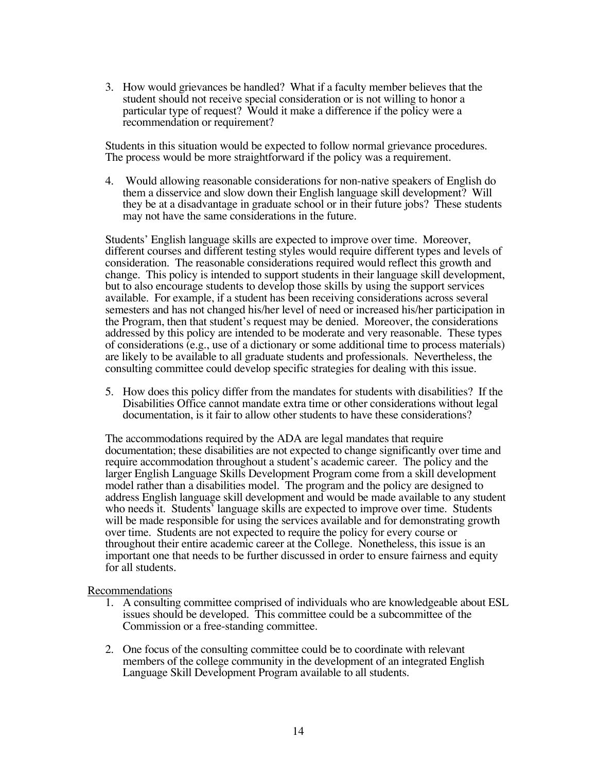3. How would grievances be handled? What if a faculty member believes that the student should not receive special consideration or is not willing to honor a particular type of request? Would it make a difference if the policy were a recommendation or requirement?

Students in this situation would be expected to follow normal grievance procedures. The process would be more straightforward if the policy was a requirement.

4. Would allowing reasonable considerations for non-native speakers of English do them a disservice and slow down their English language skill development? Will they be at a disadvantage in graduate school or in their future jobs? These students may not have the same considerations in the future.

Students' English language skills are expected to improve over time. Moreover, different courses and different testing styles would require different types and levels of consideration. The reasonable considerations required would reflect this growth and change. This policy is intended to support students in their language skill development, but to also encourage students to develop those skills by using the support services available. For example, if a student has been receiving considerations across several semesters and has not changed his/her level of need or increased his/her participation in the Program, then that student's request may be denied. Moreover, the considerations addressed by this policy are intended to be moderate and very reasonable. These types of considerations (e.g., use of a dictionary or some additional time to process materials) are likely to be available to all graduate students and professionals. Nevertheless, the consulting committee could develop specific strategies for dealing with this issue.

5. How does this policy differ from the mandates for students with disabilities? If the Disabilities Office cannot mandate extra time or other considerations without legal documentation, is it fair to allow other students to have these considerations?

The accommodations required by the ADA are legal mandates that require documentation; these disabilities are not expected to change significantly over time and require accommodation throughout a student's academic career. The policy and the larger English Language Skills Development Program come from a skill development model rather than a disabilities model. The program and the policy are designed to address English language skill development and would be made available to any student who needs it. Students' language skills are expected to improve over time. Students will be made responsible for using the services available and for demonstrating growth over time. Students are not expected to require the policy for every course or throughout their entire academic career at the College. Nonetheless, this issue is an important one that needs to be further discussed in order to ensure fairness and equity for all students.

Recommendations

- 1. A consulting committee comprised of individuals who are knowledgeable about ESL issues should be developed. This committee could be a subcommittee of the Commission or a free-standing committee.
- 2. One focus of the consulting committee could be to coordinate with relevant members of the college community in the development of an integrated English Language Skill Development Program available to all students.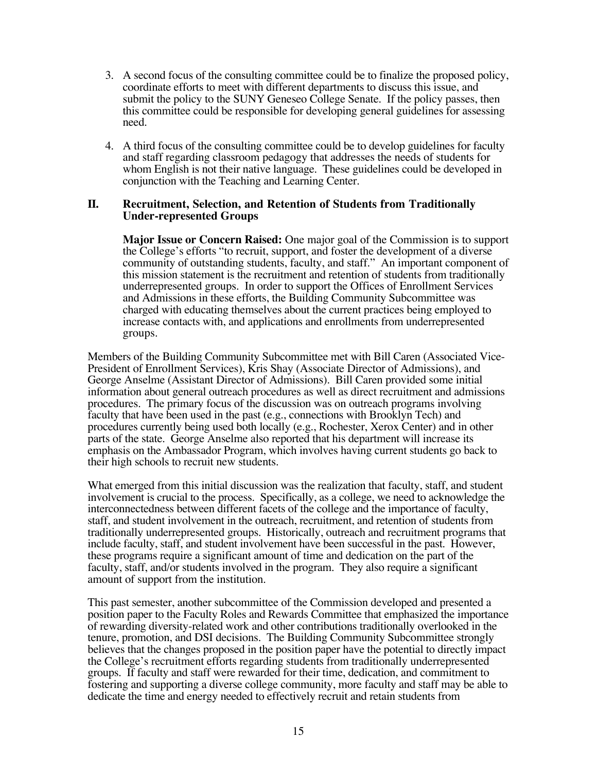- 3. A second focus of the consulting committee could be to finalize the proposed policy, coordinate efforts to meet with different departments to discuss this issue, and submit the policy to the SUNY Geneseo College Senate. If the policy passes, then this committee could be responsible for developing general guidelines for assessing need.
- 4. A third focus of the consulting committee could be to develop guidelines for faculty and staff regarding classroom pedagogy that addresses the needs of students for whom English is not their native language. These guidelines could be developed in conjunction with the Teaching and Learning Center.

#### **II. Recruitment, Selection, and Retention of Students from Traditionally Under-represented Groups**

**Major Issue or Concern Raised:** One major goal of the Commission is to support the College's efforts "to recruit, support, and foster the development of a diverse community of outstanding students, faculty, and staff." An important component of this mission statement is the recruitment and retention of students from traditionally underrepresented groups. In order to support the Offices of Enrollment Services and Admissions in these efforts, the Building Community Subcommittee was charged with educating themselves about the current practices being employed to increase contacts with, and applications and enrollments from underrepresented groups.

Members of the Building Community Subcommittee met with Bill Caren (Associated Vice-President of Enrollment Services), Kris Shay (Associate Director of Admissions), and George Anselme (Assistant Director of Admissions). Bill Caren provided some initial information about general outreach procedures as well as direct recruitment and admissions procedures. The primary focus of the discussion was on outreach programs involving faculty that have been used in the past (e.g., connections with Brooklyn Tech) and procedures currently being used both locally (e.g., Rochester, Xerox Center) and in other parts of the state. George Anselme also reported that his department will increase its emphasis on the Ambassador Program, which involves having current students go back to their high schools to recruit new students.

What emerged from this initial discussion was the realization that faculty, staff, and student involvement is crucial to the process. Specifically, as a college, we need to acknowledge the interconnectedness between different facets of the college and the importance of faculty, staff, and student involvement in the outreach, recruitment, and retention of students from traditionally underrepresented groups. Historically, outreach and recruitment programs that include faculty, staff, and student involvement have been successful in the past. However, these programs require a significant amount of time and dedication on the part of the faculty, staff, and/or students involved in the program. They also require a significant amount of support from the institution.

This past semester, another subcommittee of the Commission developed and presented a position paper to the Faculty Roles and Rewards Committee that emphasized the importance of rewarding diversity-related work and other contributions traditionally overlooked in the tenure, promotion, and DSI decisions. The Building Community Subcommittee strongly believes that the changes proposed in the position paper have the potential to directly impact the College's recruitment efforts regarding students from traditionally underrepresented groups. If faculty and staff were rewarded for their time, dedication, and commitment to fostering and supporting a diverse college community, more faculty and staff may be able to dedicate the time and energy needed to effectively recruit and retain students from